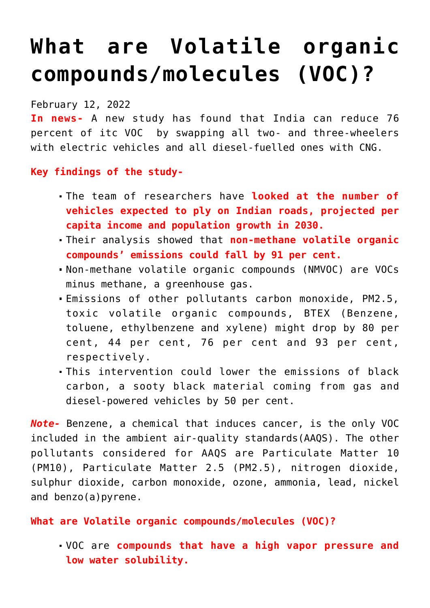## **[What are Volatile organic](https://journalsofindia.com/what-are-volatile-organic-compounds-molecules-voc/) [compounds/molecules \(VOC\)?](https://journalsofindia.com/what-are-volatile-organic-compounds-molecules-voc/)**

February 12, 2022

**In news-** A new study has found that India can reduce 76 percent of itc VOC by swapping all two- and three-wheelers with electric vehicles and all diesel-fuelled ones with CNG.

**Key findings of the study-**

- The team of researchers have **looked at the number of vehicles expected to ply on Indian roads, projected per capita income and population growth in 2030.**
- Their analysis showed that **non-methane volatile organic compounds' emissions could fall by 91 per cent.**
- Non-methane volatile organic compounds (NMVOC) are VOCs minus methane, a greenhouse gas.
- Emissions of other pollutants carbon monoxide, PM2.5, toxic volatile organic compounds, BTEX (Benzene, toluene, ethylbenzene and xylene) might drop by 80 per cent, 44 per cent, 76 per cent and 93 per cent, respectively.
- This intervention could lower the emissions of black carbon, a sooty black material coming from gas and diesel-powered vehicles by 50 per cent.

*Note-* Benzene, a chemical that induces cancer, is the only VOC included in the ambient air-quality standards(AAQS). The other pollutants considered for AAQS are Particulate Matter 10 (PM10), Particulate Matter 2.5 (PM2.5), nitrogen dioxide, sulphur dioxide, carbon monoxide, ozone, ammonia, lead, nickel and benzo(a)pyrene.

**What are Volatile organic compounds/molecules (VOC)?**

VOC are **compounds that have a high vapor pressure and low water solubility.**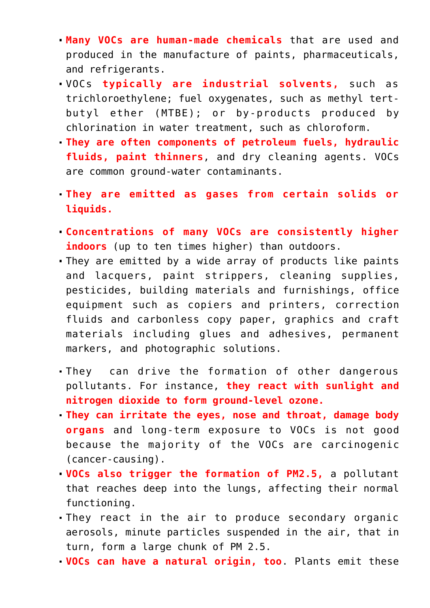- **Many VOCs are human-made chemicals** that are used and produced in the manufacture of paints, pharmaceuticals, and refrigerants.
- VOCs **typically are industrial solvents,** such as trichloroethylene; fuel oxygenates, such as methyl tertbutyl ether (MTBE); or by-products produced by chlorination in water treatment, such as chloroform.
- **They are often components of petroleum fuels, hydraulic fluids, paint thinners**, and dry cleaning agents. VOCs are common ground-water contaminants.
- **They are emitted as gases from certain solids or liquids.**
- **Concentrations of many VOCs are consistently higher indoors** (up to ten times higher) than outdoors.
- They are emitted by a wide array of products like paints and lacquers, paint strippers, cleaning supplies, pesticides, building materials and furnishings, office equipment such as copiers and printers, correction fluids and carbonless copy paper, graphics and craft materials including glues and adhesives, permanent markers, and photographic solutions.
- They can drive the formation of other dangerous pollutants. For instance, **they react with sunlight and nitrogen dioxide to form ground-level ozone.**
- **They can irritate the eyes, nose and throat, damage body organs** and long-term exposure to VOCs is not good because the majority of the VOCs are carcinogenic (cancer-causing).
- **VOCs also trigger the formation of PM2.5,** a pollutant that reaches deep into the lungs, affecting their normal functioning.
- They react in the air to produce secondary organic aerosols, minute particles suspended in the air, that in turn, form a large chunk of PM 2.5.
- **VOCs can have a natural origin, too**. Plants emit these